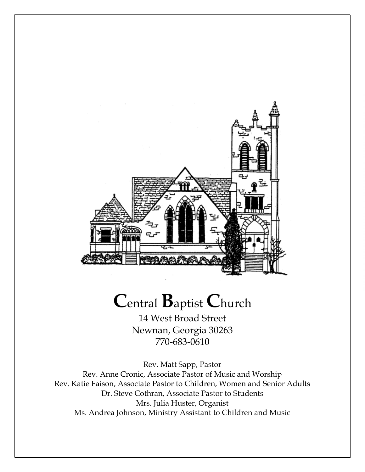

# **C**entral **B**aptist **C**hurch

14 West Broad Street Newnan, Georgia 30263 770-683-0610

Rev. Matt Sapp, Pastor Rev. Anne Cronic, Associate Pastor of Music and Worship Rev. Katie Faison, Associate Pastor to Children, Women and Senior Adults Dr. Steve Cothran, Associate Pastor to Students Mrs. Julia Huster, Organist Ms. Andrea Johnson, Ministry Assistant to Children and Music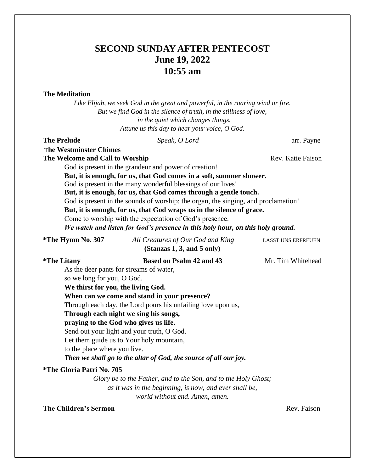# **SECOND SUNDAY AFTER PENTECOST June 19, 2022 10:55 am**

## **The Meditation**

*Like Elijah, we seek God in the great and powerful, in the roaring wind or fire. But we find God in the silence of truth, in the stillness of love, in the quiet which changes things. Attune us this day to hear your voice, O God.*

## **The Prelude** *Speak, O Lord* arr. Payne

## T**he Westminster Chimes The Welcome and Call to Worship**  Rev. Katie Faison

God is present in the grandeur and power of creation! **But, it is enough, for us, that God comes in a soft, summer shower.**

God is present in the many wonderful blessings of our lives!

**But, it is enough, for us, that God comes through a gentle touch.**

God is present in the sounds of worship: the organ, the singing, and proclamation!

**But, it is enough, for us, that God wraps us in the silence of grace.**

Come to worship with the expectation of God's presence.

*We watch and listen for God's presence in this holy hour, on this holy ground.*

| *The Hymn No. 307                                              | All Creatures of Our God and King                                | <b>LASST UNS ERFREUEN</b> |
|----------------------------------------------------------------|------------------------------------------------------------------|---------------------------|
|                                                                | (Stanzas 1, 3, and 5 only)                                       |                           |
| <i><b>*The Litany</b></i>                                      | <b>Based on Psalm 42 and 43</b>                                  | Mr. Tim Whitehead         |
| As the deer pants for streams of water,                        |                                                                  |                           |
| so we long for you, O God.                                     |                                                                  |                           |
| We thirst for you, the living God.                             |                                                                  |                           |
|                                                                | When can we come and stand in your presence?                     |                           |
| Through each day, the Lord pours his unfailing love upon us,   |                                                                  |                           |
|                                                                | Through each night we sing his songs,                            |                           |
|                                                                | praying to the God who gives us life.                            |                           |
|                                                                | Send out your light and your truth, O God.                       |                           |
|                                                                | Let them guide us to Your holy mountain,                         |                           |
| to the place where you live.                                   |                                                                  |                           |
|                                                                | Then we shall go to the altar of God, the source of all our joy. |                           |
| <i><b>*The Gloria Patri No. 705</b></i>                        |                                                                  |                           |
| Glory be to the Father, and to the Son, and to the Holy Ghost; |                                                                  |                           |
|                                                                | as it was in the beginning, is now, and ever shall be,           |                           |
|                                                                | world without end. Amen, amen.                                   |                           |

**The Children's Sermon Rev. Faison Rev. Faison**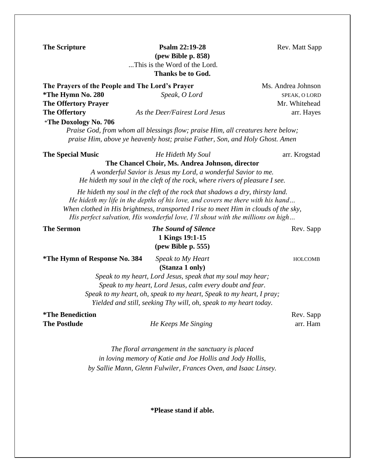**The Scripture 22:19-28** Rev. Matt Sapp **(pew Bible p. 858)** *...*This is the Word of the Lord. **Thanks be to God.**

**The Prayers of the People and The Lord's Prayer Ms. Andrea Johnson \*The Hymn No. 280** *Speak, O Lord* SPEAK, O LORD **The Offertory Prayer**  Mr. Whitehead **Mr. Whitehead The Offertory** *As the Deer/Fairest Lord Jesus*arr. Hayes \***The Doxology No. 706**

*Praise God, from whom all blessings flow; praise Him, all creatures here below; praise Him, above ye heavenly host; praise Father, Son, and Holy Ghost. Amen*

#### **The Special Music** *He Hideth My Soul* arr. Krogstad

**The Chancel Choir, Ms. Andrea Johnson, director**

*A wonderful Savior is Jesus my Lord, a wonderful Savior to me. He hideth my soul in the cleft of the rock, where rivers of pleasure I see.*

*He hideth my soul in the cleft of the rock that shadows a dry, thirsty land. He hideth my life in the depths of his love, and covers me there with his hand… When clothed in His brightness, transported I rise to meet Him in clouds of the sky, His perfect salvation, His wonderful love, I'll shout with the millions on high…*

**The Sermon** *The Sound of Silence* Rev. Sapp **1 Kings 19:1-15 (pew Bible p. 555)** 

**\*The Hymn of Response No. 384** *Speak to My Heart*HOLCOMB

**(Stanza 1 only)**

*Speak to my heart, Lord Jesus, speak that my soul may hear; Speak to my heart, Lord Jesus, calm every doubt and fear. Speak to my heart, oh, speak to my heart, Speak to my heart, I pray;*

*Yielded and still, seeking Thy will, oh, speak to my heart today.*

**\*The Benediction** Rev. Sapp

**The Postlude** *He Keeps Me Singing*arr. Ham

*The floral arrangement in the sanctuary is placed in loving memory of Katie and Joe Hollis and Jody Hollis, by Sallie Mann, Glenn Fulwiler, Frances Oven, and Isaac Linsey.*

**\*Please stand if able.**